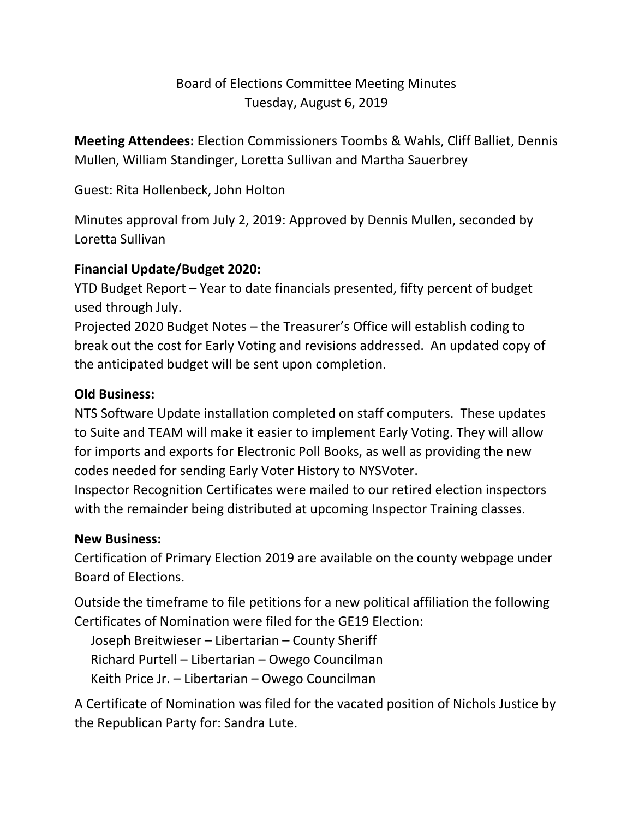## Board of Elections Committee Meeting Minutes Tuesday, August 6, 2019

**Meeting Attendees:** Election Commissioners Toombs & Wahls, Cliff Balliet, Dennis Mullen, William Standinger, Loretta Sullivan and Martha Sauerbrey

Guest: Rita Hollenbeck, John Holton

Minutes approval from July 2, 2019: Approved by Dennis Mullen, seconded by Loretta Sullivan

## **Financial Update/Budget 2020:**

YTD Budget Report – Year to date financials presented, fifty percent of budget used through July.

Projected 2020 Budget Notes – the Treasurer's Office will establish coding to break out the cost for Early Voting and revisions addressed. An updated copy of the anticipated budget will be sent upon completion.

## **Old Business:**

NTS Software Update installation completed on staff computers. These updates to Suite and TEAM will make it easier to implement Early Voting. They will allow for imports and exports for Electronic Poll Books, as well as providing the new codes needed for sending Early Voter History to NYSVoter.

Inspector Recognition Certificates were mailed to our retired election inspectors with the remainder being distributed at upcoming Inspector Training classes.

## **New Business:**

Certification of Primary Election 2019 are available on the county webpage under Board of Elections.

Outside the timeframe to file petitions for a new political affiliation the following Certificates of Nomination were filed for the GE19 Election:

Joseph Breitwieser – Libertarian – County Sheriff

Richard Purtell – Libertarian – Owego Councilman

Keith Price Jr. – Libertarian – Owego Councilman

A Certificate of Nomination was filed for the vacated position of Nichols Justice by the Republican Party for: Sandra Lute.